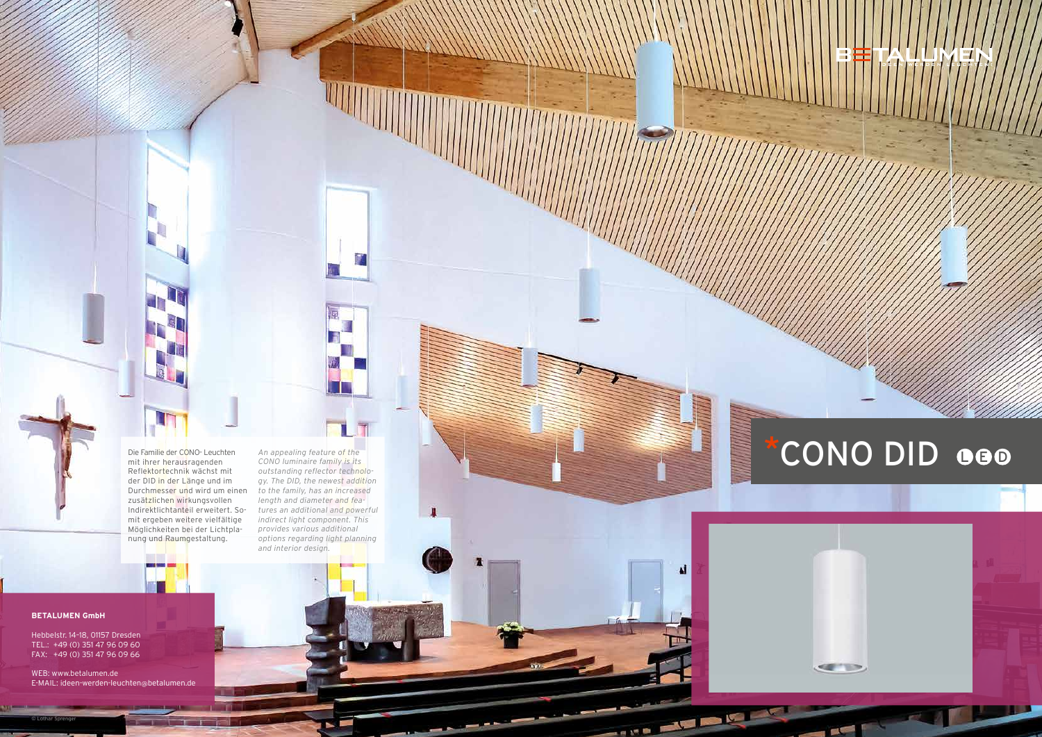#### **BETALUMEN GmbH**

Hebbelstr. 14–18, 01157 Dresden TEL.: +49 (0) 351 47 96 09 60 FAX: +49 (0) 351 47 96 09 66

WEB: www.betalumen.de E-MAIL: ideen-werden-leuchten@betalumen.de



# Die Familie der CONO- Leuchten An appealing feature of the CONO DID OCD



**POST** 

© Lothar Sprenger



*An appealing feature of the CONO luminaire family is its outstanding reflector technology. The DID, the newest addition to the family, has an increased length and diameter and features an additional and powerful indirect light component. This provides various additional options regarding light planning and interior design.*

л

ы

A.

THE STREET